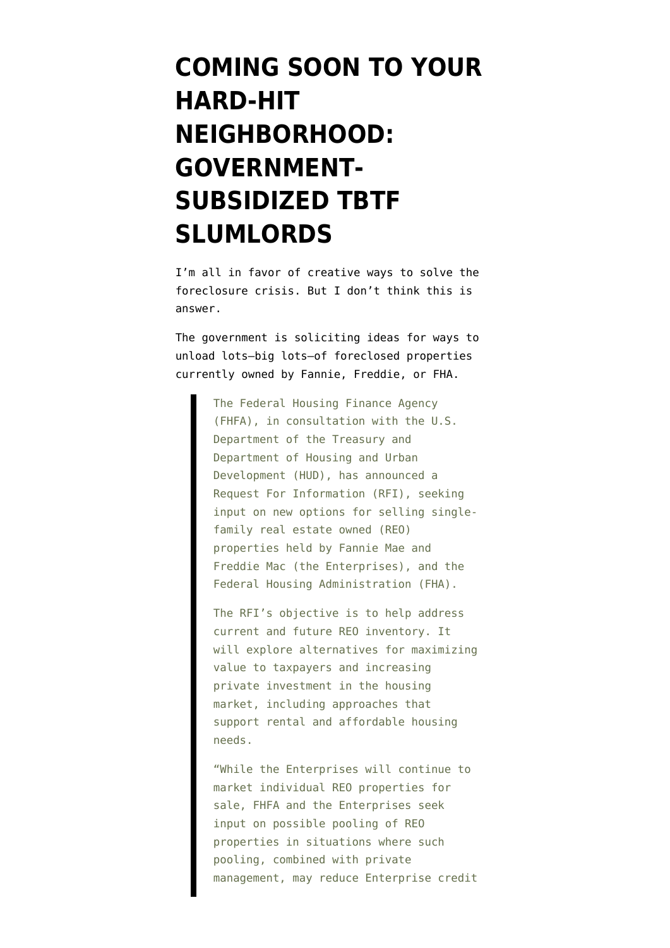## **[COMING SOON TO YOUR](https://www.emptywheel.net/2011/08/10/coming-soon-to-your-hard-hit-neighborhood-government-subsidized-tbtf-slumlords/) [HARD-HIT](https://www.emptywheel.net/2011/08/10/coming-soon-to-your-hard-hit-neighborhood-government-subsidized-tbtf-slumlords/) [NEIGHBORHOOD:](https://www.emptywheel.net/2011/08/10/coming-soon-to-your-hard-hit-neighborhood-government-subsidized-tbtf-slumlords/) [GOVERNMENT-](https://www.emptywheel.net/2011/08/10/coming-soon-to-your-hard-hit-neighborhood-government-subsidized-tbtf-slumlords/)[SUBSIDIZED TBTF](https://www.emptywheel.net/2011/08/10/coming-soon-to-your-hard-hit-neighborhood-government-subsidized-tbtf-slumlords/) [SLUMLORDS](https://www.emptywheel.net/2011/08/10/coming-soon-to-your-hard-hit-neighborhood-government-subsidized-tbtf-slumlords/)**

I'm all in favor of creative ways to solve the foreclosure crisis. But I don't think [this](http://www.fhfa.gov/webfiles/22366/RFIFinal081011.pdf) is answer.

The government is [soliciting ideas](http://portal.hud.gov/hudportal/HUD?src=/press/press_releases_media_advisories/2011/HUDNo.11-167) for ways to unload lots–big lots–of foreclosed properties currently owned by Fannie, Freddie, or FHA.

> The Federal Housing Finance Agency (FHFA), in consultation with the U.S. Department of the Treasury and Department of Housing and Urban Development (HUD), has announced a Request For Information (RFI), seeking input on new options for selling singlefamily real estate owned (REO) properties held by Fannie Mae and Freddie Mac (the Enterprises), and the Federal Housing Administration (FHA).

> The RFI's objective is to help address current and future REO inventory. It will explore alternatives for maximizing value to taxpayers and increasing private investment in the housing market, including approaches that support rental and affordable housing needs.

> "While the Enterprises will continue to market individual REO properties for sale, FHFA and the Enterprises seek input on possible pooling of REO properties in situations where such pooling, combined with private management, may reduce Enterprise credit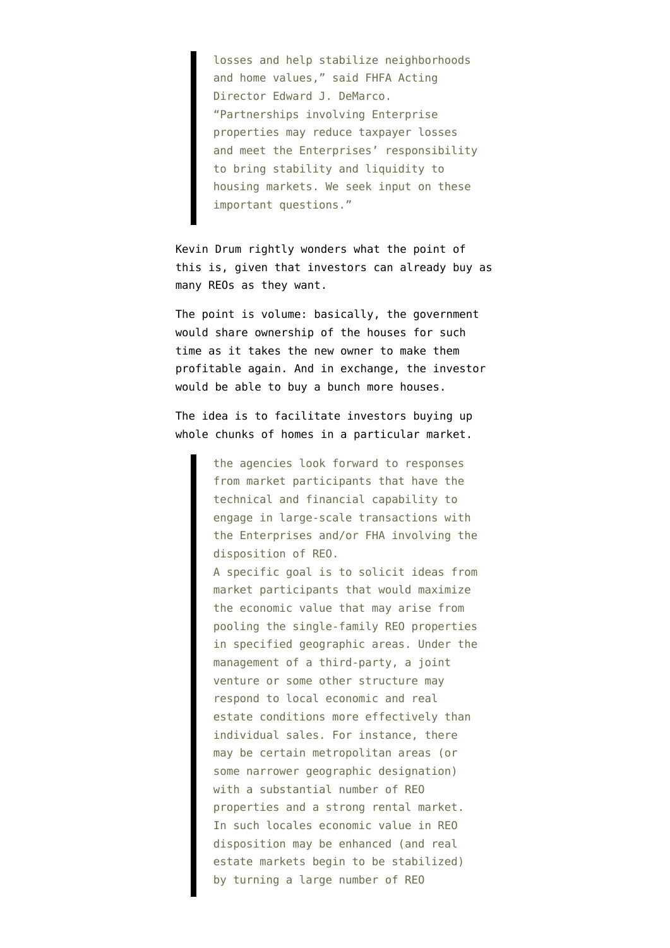losses and help stabilize neighborhoods and home values," said FHFA Acting Director Edward J. DeMarco. "Partnerships involving Enterprise properties may reduce taxpayer losses and meet the Enterprises' responsibility to bring stability and liquidity to housing markets. We seek input on these important questions."

Kevin Drum [rightly wonders](http://motherjones.com/kevin-drum/2011/08/fannie-and-freddies-weird-rental-plan) what the point of this is, given that investors can already buy as many REOs as they want.

The point is volume: basically, the government would share ownership of the houses for such time as it takes the new owner to make them profitable again. And in exchange, the investor would be able to buy a bunch more houses.

[The idea](http://www.fhfa.gov/webfiles/22366/RFIFinal081011.pdf) is to facilitate investors buying up whole chunks of homes in a particular market.

> the agencies look forward to responses from market participants that have the technical and financial capability to engage in large-scale transactions with the Enterprises and/or FHA involving the disposition of REO. A specific goal is to solicit ideas from market participants that would maximize the economic value that may arise from pooling the single-family REO properties in specified geographic areas. Under the management of a third-party, a joint venture or some other structure may respond to local economic and real estate conditions more effectively than individual sales. For instance, there may be certain metropolitan areas (or some narrower geographic designation) with a substantial number of REO properties and a strong rental market. In such locales economic value in REO disposition may be enhanced (and real estate markets begin to be stabilized) by turning a large number of REO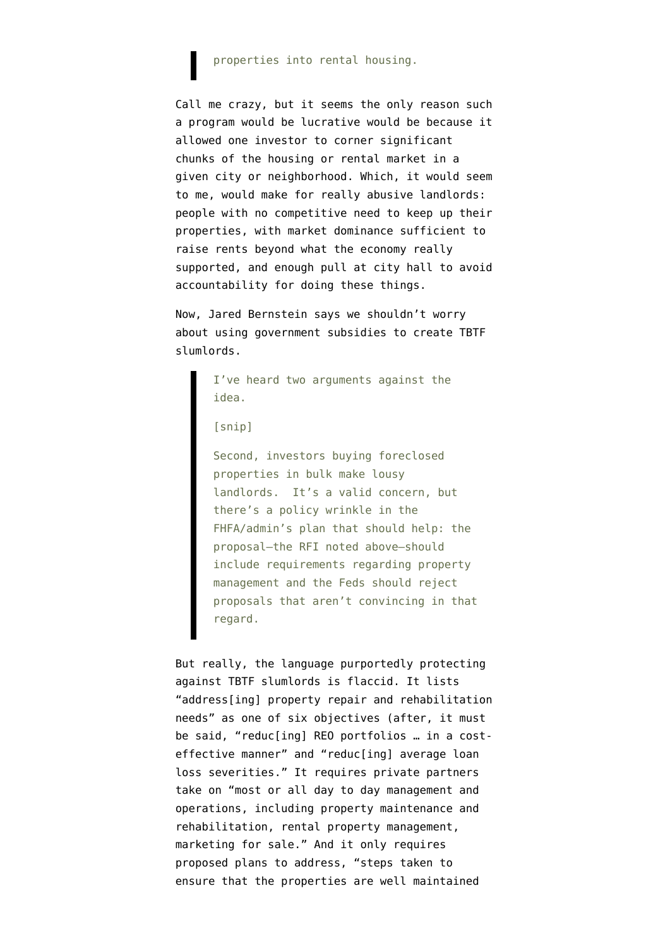## properties into rental housing.

Call me crazy, but it seems the only reason such a program would be lucrative would be because it allowed one investor to corner significant chunks of the housing or rental market in a given city or neighborhood. Which, it would seem to me, would make for really abusive landlords: people with no competitive need to keep up their properties, with market dominance sufficient to raise rents beyond what the economy really supported, and enough pull at city hall to avoid accountability for doing these things.

Now, Jared Bernstein [says](http://jaredbernsteinblog.com/a-good-housing-idea-gets-a-try/) we shouldn't worry about using government subsidies to create TBTF slumlords.

> I've heard two arguments against the idea.

[snip]

Second, investors buying foreclosed properties in bulk make lousy landlords. It's a valid concern, but there's a policy wrinkle in the FHFA/admin's plan that should help: the proposal—the RFI noted above—should include requirements regarding property management and the Feds should reject proposals that aren't convincing in that regard.

But really, the language purportedly protecting against TBTF slumlords is flaccid. It lists "address[ing] property repair and rehabilitation needs" as one of six objectives (after, it must be said, "reduc[ing] REO portfolios … in a costeffective manner" and "reduc[ing] average loan loss severities." It requires private partners take on "most or all day to day management and operations, including property maintenance and rehabilitation, rental property management, marketing for sale." And it only requires proposed plans to address, "steps taken to ensure that the properties are well maintained